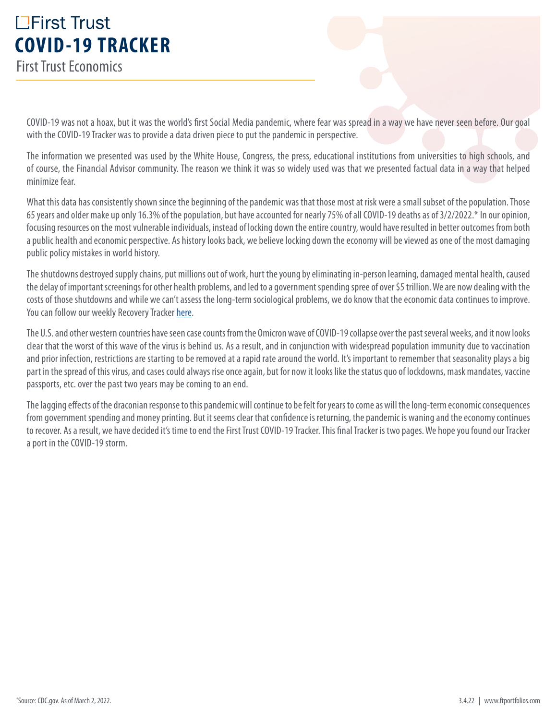# **L'Eirst Trust COVID-19 TRACKER** First Trust Economics

COVID-19 was not a hoax, but it was the world's first Social Media pandemic, where fear was spread in a way we have never seen before. Our goal with the COVID-19 Tracker was to provide a data driven piece to put the pandemic in perspective.

The information we presented was used by the White House, Congress, the press, educational institutions from universities to high schools, and of course, the Financial Advisor community. The reason we think it was so widely used was that we presented factual data in a way that helped minimize fear.

What this data has consistently shown since the beginning of the pandemic was that those most at risk were a small subset of the population. Those 65 years and older make up only 16.3% of the population, but have accounted for nearly 75% of all COVID-19 deaths as of 3/2/2022.\* In our opinion, focusing resources on the most vulnerable individuals, instead of locking down the entire country, would have resulted in better outcomes from both a public health and economic perspective. As history looks back, we believe locking down the economy will be viewed as one of the most damaging public policy mistakes in world history.

The shutdowns destroyed supply chains, put millions out of work, hurt the young by eliminating in-person learning, damaged mental health, caused the delay of important screenings for other health problems, and led to a government spending spree of over \$5 trillion. We are now dealing with the costs of those shutdowns and while we can't assess the long-term sociological problems, we do know that the economic data continues to improve. You can follow our weekly Recovery Tracker [here.](https://www.ftportfolios.com/retail/blogs/economics/index.aspx)

The U.S. and other western countries have seen case counts from the Omicron wave of COVID-19 collapse over the past several weeks, and it now looks clear that the worst of this wave of the virus is behind us. As a result, and in conjunction with widespread population immunity due to vaccination and prior infection, restrictions are starting to be removed at a rapid rate around the world. It's important to remember that seasonality plays a big part in the spread of this virus, and cases could always rise once again, but for now it looks like the status quo of lockdowns, mask mandates, vaccine passports, etc. over the past two years may be coming to an end.

The lagging effects of the draconian response to this pandemic will continue to be felt for years to come as will the long-term economic consequences from government spending and money printing. But it seems clear that confidence is returning, the pandemic is waning and the economy continues to recover. As a result, we have decided it's time to end the First Trust COVID-19 Tracker. This final Tracker is two pages. We hope you found our Tracker a port in the COVID-19 storm.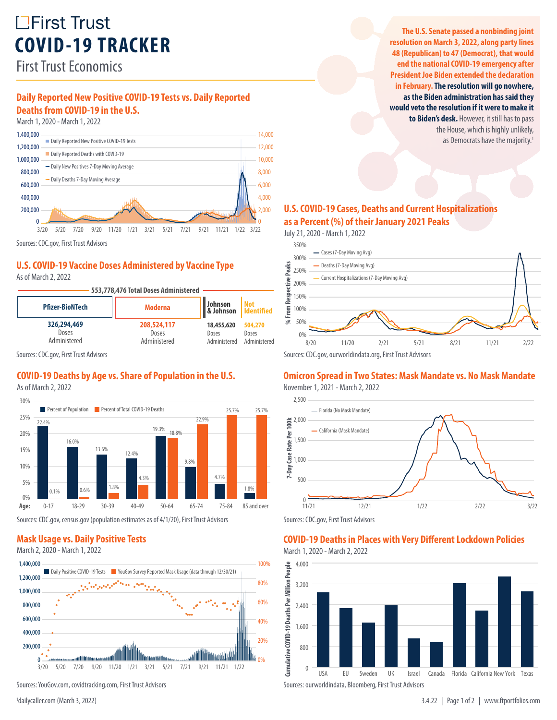# **LEirst Trust COVID-19 TRACKER**

First Trust Economics

# **Daily Reported New Positive COVID-19 Tests vs. Daily Reported Deaths from COVID-19 in the U.S.**

March 1, 2020 - March 1, 2022



Sources: CDC.gov, First Trust Advisors

#### **U.S. COVID-19 Vaccine Doses Administered by Vaccine Type**

As of March 2, 2022



Sources: CDC.gov, First Trust Advisors

### **COVID-19 Deaths by Age vs. Share of Population in the U.S.**

As of March 2, 2022



Sources: CDC.gov, census.gov (population estimates as of 4/1/20), First Trust Advisors

# **Mask Usage vs. Daily Positive Tests**



Sources: YouGov.com, covidtracking.com, First Trust Advisors

<sup>1</sup>dailycaller.com (March 3, 2022)

**The U.S. Senate passed a nonbinding joint resolution on March 3, 2022, along party lines 48 (Republican) to 47 (Democrat), that would end the national COVID-19 emergency after President Joe Biden extended the declaration in February. The resolution will go nowhere, as the Biden administration has said they would veto the resolution if it were to make it to Biden's desk.** However, it still has to pass the House, which is highly unlikely, as Democrats have the majority.<sup>1</sup>

#### **U.S. COVID-19 Cases, Deaths and Current Hospitalizations as a Percent (%) of their January 2021 Peaks**

July 21, 2020 - March 1, 2022



#### **Omicron Spread in Two States: Mask Mandate vs. No Mask Mandate**





### **COVID-19 Deaths in Places with Very Different Lockdown Policies**

March 1, 2020 - March 2, 2022